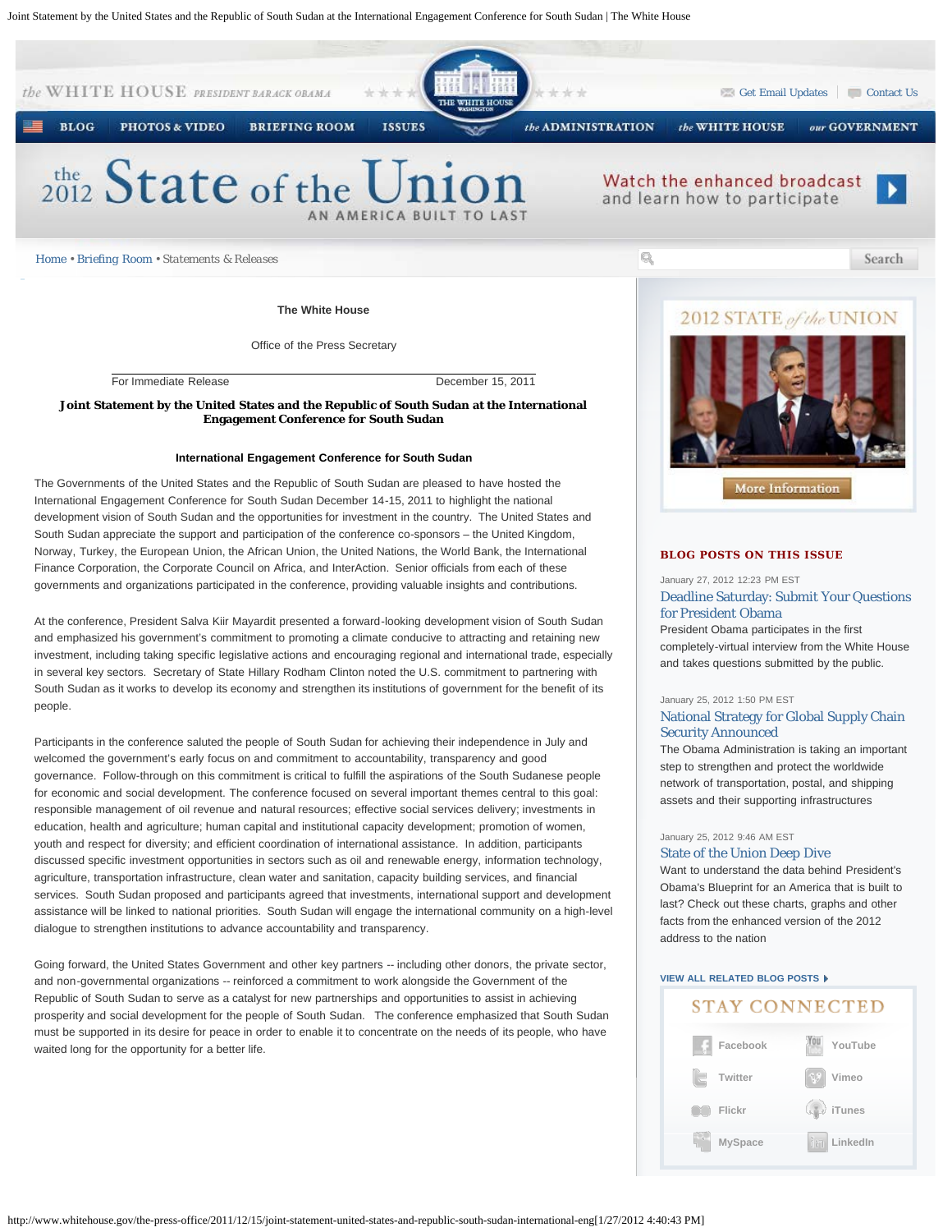Joint Statement by the United States and the Republic of South Sudan at the International Engagement Conference for South Sudan | The White House



At the conference, President Salva Kiir Mayardit presented a forward-looking development vision of South Sudan and emphasized his government's commitment to promoting a climate conducive to attracting and retaining new investment, including taking specific legislative actions and encouraging regional and international trade, especially in several key sectors. Secretary of State Hillary Rodham Clinton noted the U.S. commitment to partnering with South Sudan as it works to develop its economy and strengthen its institutions of government for the benefit of its people.

Participants in the conference saluted the people of South Sudan for achieving their independence in July and welcomed the government's early focus on and commitment to accountability, transparency and good governance. Follow-through on this commitment is critical to fulfill the aspirations of the South Sudanese people for economic and social development. The conference focused on several important themes central to this goal: responsible management of oil revenue and natural resources; effective social services delivery; investments in education, health and agriculture; human capital and institutional capacity development; promotion of women, youth and respect for diversity; and efficient coordination of international assistance. In addition, participants discussed specific investment opportunities in sectors such as oil and renewable energy, information technology, agriculture, transportation infrastructure, clean water and sanitation, capacity building services, and financial services. South Sudan proposed and participants agreed that investments, international support and development assistance will be linked to national priorities. South Sudan will engage the international community on a high-level dialogue to strengthen institutions to advance accountability and transparency.

Going forward, the United States Government and other key partners -- including other donors, the private sector, and non-governmental organizations -- reinforced a commitment to work alongside the Government of the Republic of South Sudan to serve as a catalyst for new partnerships and opportunities to assist in achieving prosperity and social development for the people of South Sudan. The conference emphasized that South Sudan must be supported in its desire for peace in order to enable it to concentrate on the needs of its people, who have waited long for the opportunity for a better life. **[Facebook](http://www.facebook.com/whitehouse)** 

#### January 27, 2012 12:23 PM EST

# [Deadline Saturday: Submit Your Questions](http://www.whitehouse.gov/blog/2012/01/27/deadline-saturday-submit-your-questions-president-obama) [for President Obama](http://www.whitehouse.gov/blog/2012/01/27/deadline-saturday-submit-your-questions-president-obama)

President Obama participates in the first completely-virtual interview from the White House and takes questions submitted by the public.

#### January 25, 2012 1:50 PM EST

### [National Strategy for Global Supply Chain](http://www.whitehouse.gov/blog/2012/01/25/national-strategy-global-supply-chain-security-announced) [Security Announced](http://www.whitehouse.gov/blog/2012/01/25/national-strategy-global-supply-chain-security-announced)

The Obama Administration is taking an important step to strengthen and protect the worldwide network of transportation, postal, and shipping assets and their supporting infrastructures

#### January 25, 2012 9:46 AM EST

#### [State of the Union Deep Dive](http://www.whitehouse.gov/blog/2012/01/25/state-union-deep-dive)

Want to understand the data behind President's Obama's Blueprint for an America that is built to last? Check out these charts, graphs and other facts from the enhanced version of the 2012 address to the nation

## **[VIEW ALL RELATED BLOG POSTS](http://www.whitehouse.gov/blog/issues/Foreign-Policy)**

# **STAY CONNECTED**